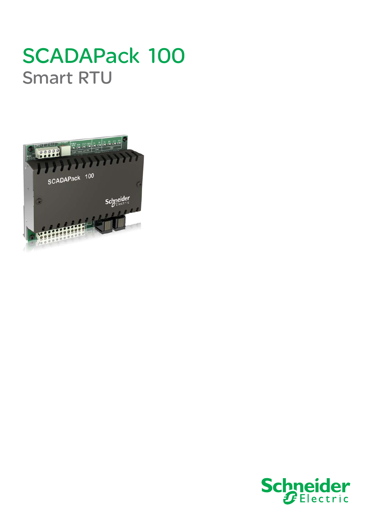## SCADAPack 100 Smart RTU



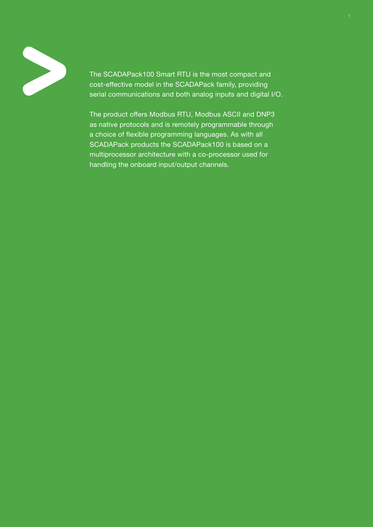

The SCADAPack100 Smart RTU is the most compact and cost-effective model in the SCADAPack family, providing serial communications and both analog inputs and digital I/O.

The product offers Modbus RTU, Modbus ASCII and DNP3 as native protocols and is remotely programmable through a choice of flexible programming languages. As with all SCADAPack products the SCADAPack100 is based on a multiprocessor architecture with a co-processor used for handling the onboard input/output channels.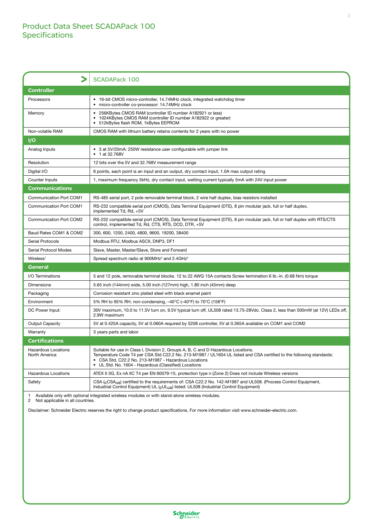|                                                                                                  | <b>SCADAPack 100</b>                                                                                                                                                                                                                                                                                                      |  |
|--------------------------------------------------------------------------------------------------|---------------------------------------------------------------------------------------------------------------------------------------------------------------------------------------------------------------------------------------------------------------------------------------------------------------------------|--|
| <b>Controller</b>                                                                                |                                                                                                                                                                                                                                                                                                                           |  |
| Processors                                                                                       | • 16-bit CMOS micro-controller, 14.74MHz clock, integrated watchdog timer<br>micro-controller co-processor: 14.74MHz clock                                                                                                                                                                                                |  |
| Memory                                                                                           | • 256KBytes CMOS RAM (controller ID number A182921 or less)<br>1024KBytes CMOS RAM (controller ID number A182922 or greater)<br>512kBytes flash ROM, 1kBytes EEPROM                                                                                                                                                       |  |
| Non-volatile RAM                                                                                 | CMOS RAM with lithium battery retains contents for 2 years with no power                                                                                                                                                                                                                                                  |  |
| $\mathsf{I}/\mathsf{O}$                                                                          |                                                                                                                                                                                                                                                                                                                           |  |
| Analog Inputs                                                                                    | • 3 at 5V/20mA: 250W resistance user configurable with jumper link<br>1 at 32.768V                                                                                                                                                                                                                                        |  |
| Resolution                                                                                       | 12 bits over the 5V and 32.768V measurement range                                                                                                                                                                                                                                                                         |  |
| Digital I/O                                                                                      | 6 points, each point is an input and an output, dry contact input, 1.0A max output rating                                                                                                                                                                                                                                 |  |
| Counter Inputs                                                                                   | 1, maximum frequency 5kHz, dry contact input, wetting current typically 5mA with 24V input power                                                                                                                                                                                                                          |  |
| <b>Communications</b>                                                                            |                                                                                                                                                                                                                                                                                                                           |  |
| Communication Port COM1                                                                          | RS-485 serial port, 2 pole removable terminal block, 2 wire half duplex, bias resistors installed                                                                                                                                                                                                                         |  |
| <b>Communication Port COM1</b>                                                                   | RS-232 compatible serial port (CMOS), Data Terminal Equipment (DTE), 8 pin modular jack, full or half duplex,<br>implemented Td, Rd, +5V                                                                                                                                                                                  |  |
| <b>Communication Port COM2</b>                                                                   | RS-232 compatible serial port (CMOS), Data Terminal Equipment (DTE), 8 pin modular jack, full or half duplex with RTS/CTS<br>control, implemented Td, Rd, CTS, RTS, DCD, DTR, +5V                                                                                                                                         |  |
| Baud Rates COM1 & COM2                                                                           | 300, 600, 1200, 2400, 4800, 9600, 19200, 38400                                                                                                                                                                                                                                                                            |  |
| Serial Protocols                                                                                 | Modbus RTU, Modbus ASCII, DNP3, DF1                                                                                                                                                                                                                                                                                       |  |
| Serial Protocol Modes                                                                            | Slave, Master, Master/Slave, Store and Forward                                                                                                                                                                                                                                                                            |  |
| Wireless <sup>1</sup>                                                                            | Spread spectrum radio at 900MHz <sup>2</sup> and 2.4GHz <sup>2</sup>                                                                                                                                                                                                                                                      |  |
| <b>General</b>                                                                                   |                                                                                                                                                                                                                                                                                                                           |  |
| I/O Terminations                                                                                 | 5 and 12 pole, removable terminal blocks. 12 to 22 AWG 15A contacts Screw termination 6 lb.-in. (0.68 Nm) torque                                                                                                                                                                                                          |  |
| <b>Dimensions</b>                                                                                | 5.65 inch (144mm) wide, 5.00 inch (127mm) high, 1.80 inch (45mm) deep                                                                                                                                                                                                                                                     |  |
| Packaging                                                                                        | Corrosion resistant zinc plated steel with black enamel paint                                                                                                                                                                                                                                                             |  |
| Environment                                                                                      | 5% RH to 95% RH, non-condensing, -40°C (-40°F) to 70°C (158°F)                                                                                                                                                                                                                                                            |  |
| DC Power Input:                                                                                  | 30V maximum, 10.0 to 11.5V turn on, 9.5V typical turn off, UL508 rated 13.75-28Vdc. Class 2, less than 500mW (at 12V) LEDs off,<br>2.9W maximum                                                                                                                                                                           |  |
| Output Capacity                                                                                  | 5V at 0.425A capacity, 5V at 0.060A required by 5208 controller, 5V at 0.365A available on COM1 and COM2                                                                                                                                                                                                                  |  |
| Warranty                                                                                         | 3 years parts and labor                                                                                                                                                                                                                                                                                                   |  |
| <b>Certifications</b>                                                                            |                                                                                                                                                                                                                                                                                                                           |  |
| <b>Hazardous Locations</b><br>North America                                                      | Suitable for use in Class I, Division 2, Groups A, B, C and D Hazardous Locations.<br>Temperature Code T4 per CSA Std C22.2 No. 213-M1987 / UL1604 UL listed and CSA certified to the following standards:<br>CSA Std. C22.2 No. 213-M1987 - Hazardous Locations<br>• UL Std. No. 1604 - Hazardous (Classified) Locations |  |
| <b>Hazardous Locations</b>                                                                       | ATEX II 3G, Ex nA IIC T4 per EN 60079-15, protection type n (Zone 2) Does not include Wireless versions                                                                                                                                                                                                                   |  |
| Safety                                                                                           | CSA ( <sub>C</sub> CSA <sub>US</sub> ) certified to the requirements of: CSA C22.2 No. 142-M1987 and UL508. (Process Control Equipment,<br>Industrial Control Equipment) UL ( <sub>C</sub> UL <sub>US</sub> ) listed: UL508 (Industrial Control Equipment)                                                                |  |
| 1 Available only with optional integrated wireless modules or with stand-alone wireless modules. |                                                                                                                                                                                                                                                                                                                           |  |

2 Not applicable in all countries.

Disclaimer: Schneider Electric reserves the right to change product specifications. For more information visit www.schneider-electric.com.